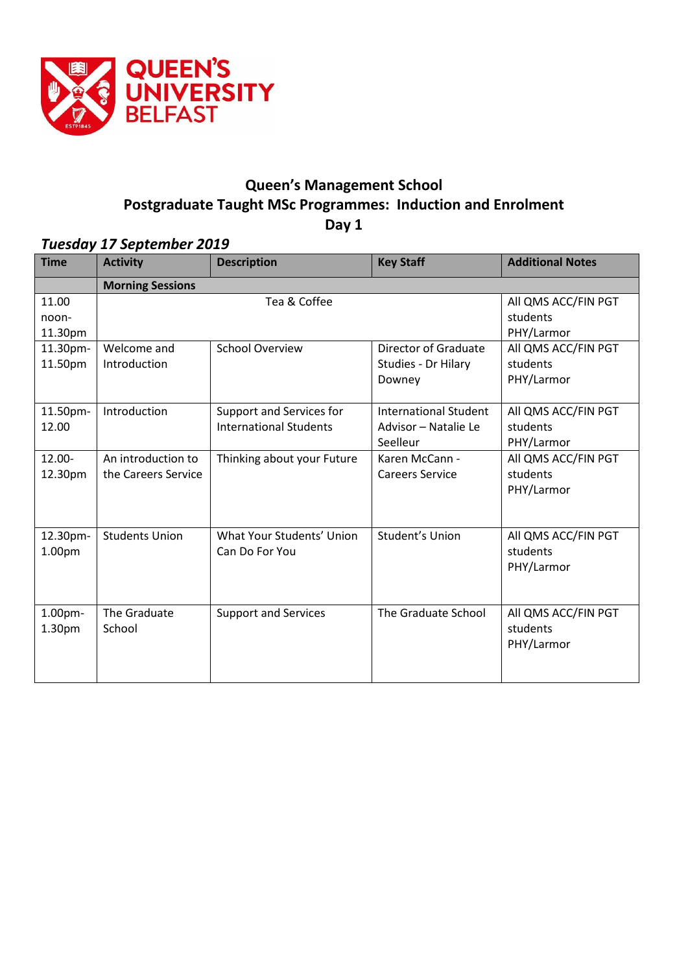

# **Queen's Management School Postgraduate Taught MSc Programmes: Induction and Enrolment Day 1**

# *Tuesday 17 September 2019*

| <b>Time</b> | <b>Activity</b>         | <b>Description</b>            | <b>Key Staff</b>             | <b>Additional Notes</b> |  |  |  |
|-------------|-------------------------|-------------------------------|------------------------------|-------------------------|--|--|--|
|             | <b>Morning Sessions</b> |                               |                              |                         |  |  |  |
| 11.00       | Tea & Coffee            |                               |                              | All QMS ACC/FIN PGT     |  |  |  |
| noon-       |                         | students                      |                              |                         |  |  |  |
| 11.30pm     |                         |                               |                              | PHY/Larmor              |  |  |  |
| 11.30pm-    | Welcome and             | <b>School Overview</b>        | <b>Director of Graduate</b>  | All QMS ACC/FIN PGT     |  |  |  |
| 11.50pm     | Introduction            |                               | Studies - Dr Hilary          | students                |  |  |  |
|             |                         |                               | Downey                       | PHY/Larmor              |  |  |  |
|             |                         |                               |                              |                         |  |  |  |
| 11.50pm-    | Introduction            | Support and Services for      | <b>International Student</b> | All QMS ACC/FIN PGT     |  |  |  |
| 12.00       |                         | <b>International Students</b> | Advisor - Natalie Le         | students                |  |  |  |
|             |                         |                               | Seelleur                     | PHY/Larmor              |  |  |  |
| 12.00-      | An introduction to      | Thinking about your Future    | Karen McCann -               | All QMS ACC/FIN PGT     |  |  |  |
| 12.30pm     | the Careers Service     |                               | <b>Careers Service</b>       | students                |  |  |  |
|             |                         |                               |                              | PHY/Larmor              |  |  |  |
|             |                         |                               |                              |                         |  |  |  |
|             |                         |                               |                              |                         |  |  |  |
| 12.30pm-    | <b>Students Union</b>   | What Your Students' Union     | Student's Union              | All QMS ACC/FIN PGT     |  |  |  |
| 1.00pm      |                         | Can Do For You                |                              | students                |  |  |  |
|             |                         |                               |                              | PHY/Larmor              |  |  |  |
|             |                         |                               |                              |                         |  |  |  |
|             |                         |                               |                              |                         |  |  |  |
| 1.00pm-     | The Graduate            | <b>Support and Services</b>   | The Graduate School          | All QMS ACC/FIN PGT     |  |  |  |
| 1.30pm      | School                  |                               |                              | students                |  |  |  |
|             |                         |                               |                              | PHY/Larmor              |  |  |  |
|             |                         |                               |                              |                         |  |  |  |
|             |                         |                               |                              |                         |  |  |  |